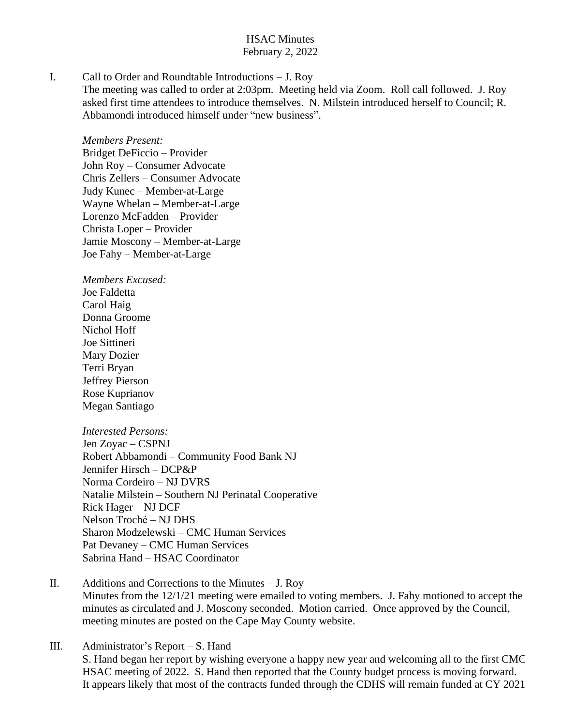## HSAC Minutes February 2, 2022

I. Call to Order and Roundtable Introductions – J. Roy

The meeting was called to order at 2:03pm. Meeting held via Zoom. Roll call followed. J. Roy asked first time attendees to introduce themselves. N. Milstein introduced herself to Council; R. Abbamondi introduced himself under "new business".

*Members Present:* Bridget DeFiccio – Provider John Roy – Consumer Advocate Chris Zellers – Consumer Advocate Judy Kunec – Member-at-Large Wayne Whelan – Member-at-Large Lorenzo McFadden – Provider Christa Loper – Provider Jamie Moscony – Member-at-Large Joe Fahy – Member-at-Large

*Members Excused:* Joe Faldetta Carol Haig Donna Groome Nichol Hoff Joe Sittineri Mary Dozier Terri Bryan Jeffrey Pierson Rose Kuprianov Megan Santiago

*Interested Persons:* Jen Zoyac – CSPNJ Robert Abbamondi – Community Food Bank NJ Jennifer Hirsch – DCP&P Norma Cordeiro – NJ DVRS Natalie Milstein – Southern NJ Perinatal Cooperative Rick Hager – NJ DCF Nelson Troché – NJ DHS Sharon Modzelewski – CMC Human Services Pat Devaney – CMC Human Services Sabrina Hand – HSAC Coordinator

II. Additions and Corrections to the Minutes – J. Roy Minutes from the 12/1/21 meeting were emailed to voting members. J. Fahy motioned to accept the minutes as circulated and J. Moscony seconded. Motion carried. Once approved by the Council, meeting minutes are posted on the Cape May County website.

III. Administrator's Report – S. Hand S. Hand began her report by wishing everyone a happy new year and welcoming all to the first CMC HSAC meeting of 2022. S. Hand then reported that the County budget process is moving forward. It appears likely that most of the contracts funded through the CDHS will remain funded at CY 2021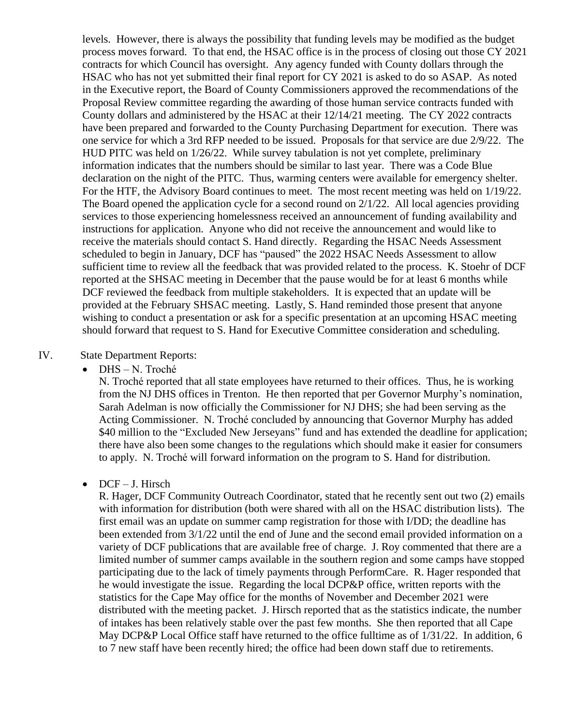levels. However, there is always the possibility that funding levels may be modified as the budget process moves forward. To that end, the HSAC office is in the process of closing out those CY 2021 contracts for which Council has oversight. Any agency funded with County dollars through the HSAC who has not yet submitted their final report for CY 2021 is asked to do so ASAP. As noted in the Executive report, the Board of County Commissioners approved the recommendations of the Proposal Review committee regarding the awarding of those human service contracts funded with County dollars and administered by the HSAC at their 12/14/21 meeting. The CY 2022 contracts have been prepared and forwarded to the County Purchasing Department for execution. There was one service for which a 3rd RFP needed to be issued. Proposals for that service are due 2/9/22. The HUD PITC was held on 1/26/22. While survey tabulation is not yet complete, preliminary information indicates that the numbers should be similar to last year. There was a Code Blue declaration on the night of the PITC. Thus, warming centers were available for emergency shelter. For the HTF, the Advisory Board continues to meet. The most recent meeting was held on 1/19/22. The Board opened the application cycle for a second round on 2/1/22. All local agencies providing services to those experiencing homelessness received an announcement of funding availability and instructions for application. Anyone who did not receive the announcement and would like to receive the materials should contact S. Hand directly. Regarding the HSAC Needs Assessment scheduled to begin in January, DCF has "paused" the 2022 HSAC Needs Assessment to allow sufficient time to review all the feedback that was provided related to the process. K. Stoehr of DCF reported at the SHSAC meeting in December that the pause would be for at least 6 months while DCF reviewed the feedback from multiple stakeholders. It is expected that an update will be provided at the February SHSAC meeting. Lastly, S. Hand reminded those present that anyone wishing to conduct a presentation or ask for a specific presentation at an upcoming HSAC meeting should forward that request to S. Hand for Executive Committee consideration and scheduling.

### IV. State Department Reports:

DHS – N. Troché

N. Troché reported that all state employees have returned to their offices. Thus, he is working from the NJ DHS offices in Trenton. He then reported that per Governor Murphy's nomination, Sarah Adelman is now officially the Commissioner for NJ DHS; she had been serving as the Acting Commissioner. N. Troché concluded by announcing that Governor Murphy has added \$40 million to the "Excluded New Jerseyans" fund and has extended the deadline for application; there have also been some changes to the regulations which should make it easier for consumers to apply. N. Troché will forward information on the program to S. Hand for distribution.

### • DCF – J. Hirsch

R. Hager, DCF Community Outreach Coordinator, stated that he recently sent out two (2) emails with information for distribution (both were shared with all on the HSAC distribution lists). The first email was an update on summer camp registration for those with I/DD; the deadline has been extended from 3/1/22 until the end of June and the second email provided information on a variety of DCF publications that are available free of charge. J. Roy commented that there are a limited number of summer camps available in the southern region and some camps have stopped participating due to the lack of timely payments through PerformCare. R. Hager responded that he would investigate the issue. Regarding the local DCP&P office, written reports with the statistics for the Cape May office for the months of November and December 2021 were distributed with the meeting packet. J. Hirsch reported that as the statistics indicate, the number of intakes has been relatively stable over the past few months. She then reported that all Cape May DCP&P Local Office staff have returned to the office fulltime as of  $1/31/22$ . In addition, 6 to 7 new staff have been recently hired; the office had been down staff due to retirements.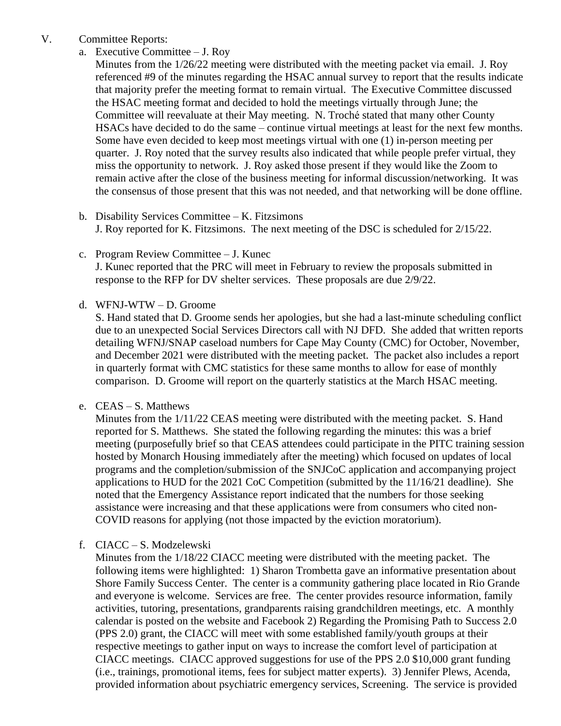## V. Committee Reports:

a. Executive Committee – J. Roy

Minutes from the 1/26/22 meeting were distributed with the meeting packet via email. J. Roy referenced #9 of the minutes regarding the HSAC annual survey to report that the results indicate that majority prefer the meeting format to remain virtual. The Executive Committee discussed the HSAC meeting format and decided to hold the meetings virtually through June; the Committee will reevaluate at their May meeting. N. Troché stated that many other County HSACs have decided to do the same – continue virtual meetings at least for the next few months. Some have even decided to keep most meetings virtual with one (1) in-person meeting per quarter. J. Roy noted that the survey results also indicated that while people prefer virtual, they miss the opportunity to network. J. Roy asked those present if they would like the Zoom to remain active after the close of the business meeting for informal discussion/networking. It was the consensus of those present that this was not needed, and that networking will be done offline.

- b. Disability Services Committee K. Fitzsimons J. Roy reported for K. Fitzsimons. The next meeting of the DSC is scheduled for 2/15/22.
- c. Program Review Committee J. Kunec J. Kunec reported that the PRC will meet in February to review the proposals submitted in response to the RFP for DV shelter services. These proposals are due 2/9/22.
- d. WFNJ-WTW D. Groome

S. Hand stated that D. Groome sends her apologies, but she had a last-minute scheduling conflict due to an unexpected Social Services Directors call with NJ DFD. She added that written reports detailing WFNJ/SNAP caseload numbers for Cape May County (CMC) for October, November, and December 2021 were distributed with the meeting packet. The packet also includes a report in quarterly format with CMC statistics for these same months to allow for ease of monthly comparison. D. Groome will report on the quarterly statistics at the March HSAC meeting.

# e. CEAS – S. Matthews

Minutes from the 1/11/22 CEAS meeting were distributed with the meeting packet. S. Hand reported for S. Matthews. She stated the following regarding the minutes: this was a brief meeting (purposefully brief so that CEAS attendees could participate in the PITC training session hosted by Monarch Housing immediately after the meeting) which focused on updates of local programs and the completion/submission of the SNJCoC application and accompanying project applications to HUD for the 2021 CoC Competition (submitted by the 11/16/21 deadline). She noted that the Emergency Assistance report indicated that the numbers for those seeking assistance were increasing and that these applications were from consumers who cited non-COVID reasons for applying (not those impacted by the eviction moratorium).

f. CIACC – S. Modzelewski

Minutes from the 1/18/22 CIACC meeting were distributed with the meeting packet. The following items were highlighted: 1) Sharon Trombetta gave an informative presentation about Shore Family Success Center. The center is a community gathering place located in Rio Grande and everyone is welcome. Services are free. The center provides resource information, family activities, tutoring, presentations, grandparents raising grandchildren meetings, etc. A monthly calendar is posted on the website and Facebook 2) Regarding the Promising Path to Success 2.0 (PPS 2.0) grant, the CIACC will meet with some established family/youth groups at their respective meetings to gather input on ways to increase the comfort level of participation at CIACC meetings. CIACC approved suggestions for use of the PPS 2.0 \$10,000 grant funding (i.e., trainings, promotional items, fees for subject matter experts). 3) Jennifer Plews, Acenda, provided information about psychiatric emergency services, Screening. The service is provided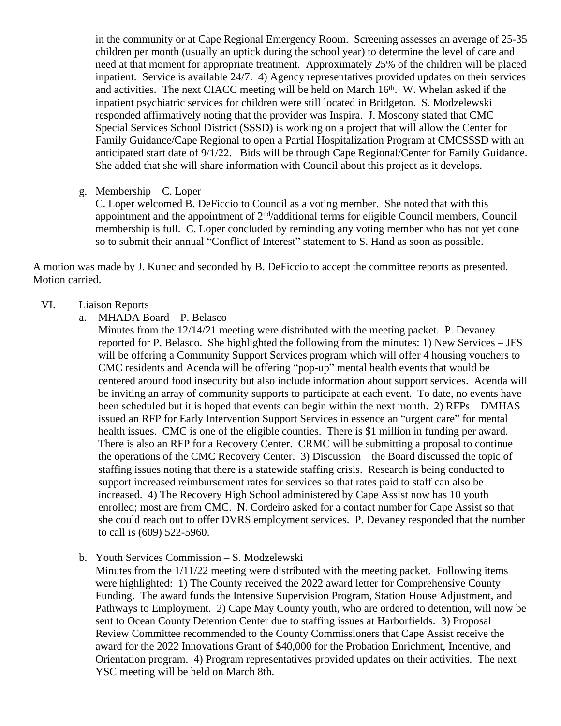in the community or at Cape Regional Emergency Room. Screening assesses an average of 25-35 children per month (usually an uptick during the school year) to determine the level of care and need at that moment for appropriate treatment. Approximately 25% of the children will be placed inpatient. Service is available 24/7. 4) Agency representatives provided updates on their services and activities. The next CIACC meeting will be held on March  $16<sup>th</sup>$ . W. Whelan asked if the inpatient psychiatric services for children were still located in Bridgeton. S. Modzelewski responded affirmatively noting that the provider was Inspira. J. Moscony stated that CMC Special Services School District (SSSD) is working on a project that will allow the Center for Family Guidance/Cape Regional to open a Partial Hospitalization Program at CMCSSSD with an anticipated start date of 9/1/22. Bids will be through Cape Regional/Center for Family Guidance. She added that she will share information with Council about this project as it develops.

g. Membership – C. Loper

C. Loper welcomed B. DeFiccio to Council as a voting member. She noted that with this appointment and the appointment of 2<sup>nd</sup>/additional terms for eligible Council members, Council membership is full. C. Loper concluded by reminding any voting member who has not yet done so to submit their annual "Conflict of Interest" statement to S. Hand as soon as possible.

A motion was made by J. Kunec and seconded by B. DeFiccio to accept the committee reports as presented. Motion carried.

## VI. Liaison Reports

- a. MHADA Board P. Belasco
	- Minutes from the 12/14/21 meeting were distributed with the meeting packet. P. Devaney reported for P. Belasco. She highlighted the following from the minutes: 1) New Services – JFS will be offering a Community Support Services program which will offer 4 housing vouchers to CMC residents and Acenda will be offering "pop-up" mental health events that would be centered around food insecurity but also include information about support services. Acenda will be inviting an array of community supports to participate at each event. To date, no events have been scheduled but it is hoped that events can begin within the next month. 2) RFPs – DMHAS issued an RFP for Early Intervention Support Services in essence an "urgent care" for mental health issues. CMC is one of the eligible counties. There is \$1 million in funding per award. There is also an RFP for a Recovery Center. CRMC will be submitting a proposal to continue the operations of the CMC Recovery Center. 3) Discussion – the Board discussed the topic of staffing issues noting that there is a statewide staffing crisis. Research is being conducted to support increased reimbursement rates for services so that rates paid to staff can also be increased. 4) The Recovery High School administered by Cape Assist now has 10 youth enrolled; most are from CMC. N. Cordeiro asked for a contact number for Cape Assist so that she could reach out to offer DVRS employment services. P. Devaney responded that the number to call is (609) 522-5960.
- b. Youth Services Commission S. Modzelewski

Minutes from the 1/11/22 meeting were distributed with the meeting packet. Following items were highlighted: 1) The County received the 2022 award letter for Comprehensive County Funding. The award funds the Intensive Supervision Program, Station House Adjustment, and Pathways to Employment. 2) Cape May County youth, who are ordered to detention, will now be sent to Ocean County Detention Center due to staffing issues at Harborfields. 3) Proposal Review Committee recommended to the County Commissioners that Cape Assist receive the award for the 2022 Innovations Grant of \$40,000 for the Probation Enrichment, Incentive, and Orientation program. 4) Program representatives provided updates on their activities. The next YSC meeting will be held on March 8th.